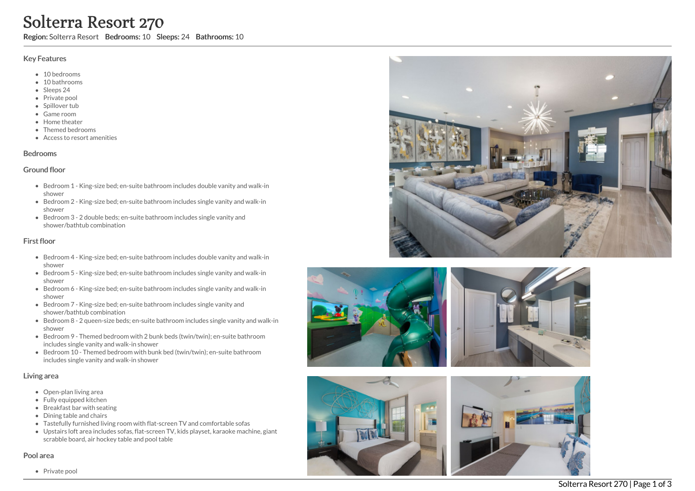# **Solterra**<br>
Region: Solterra Res<br>
Key Features<br>
• 10 bedrooms<br>
• 10 bathrooms<br>
• Sleeps 24<br>
• Private pool<br>
• Spillover tub<br>
• Game room<br>
• Home theater<br>
• Themed bedroom<br>
• Access to resort<br>
Bedrooms<br>
Screen 1 - Kin<br>
show Resort 270

Region: Solterra Resort Bedrooms: 10 Sleeps: 24 Bathrooms: 10

# Key Features

- 10 bedrooms
- 10 bathrooms
- Sleeps 24
- Private pool
- Spillover tub
- Game room
- Home theate r
- Themed bedrooms
- Access to resort amenities

# **Bedrooms**

# Ground floor

- Bedroom 1 King-size bed; en-suite bathroom includes double vanity and walk-in s h o w e r
- Bedroom 2 King-size bed; en-suite bathroom includes single vanity and walk-in s h o w e r
- Bedroom 3 2 double beds; en-suite bathroom includes single vanity and shower/bathtub combination

# First floor

- Bedroom 4 King-size bed; en-suite bathroom includes double vanity and walk-in s h o w e r
- Bedroom 5 King-size bed; en-suite bathroom includes single vanity and walk-in s h o w e r
- Bedroom 6 King-size bed; en-suite bathroom includes single vanity and walk-in s h o w e r
- Bedroom 7 King-size bed; en-suite bathroom includes single vanity and shower/bathtub combination
- Bedroom 8 2 queen-size beds; en-suite bathroom includes single vanity and walk-in s h o w e r
- Bedroom 9 Themed bedroom with 2 bunk beds (twin/twin); en-suite bathroom includes single vanity and walk-in shower
- Bedroom 10 Themed bedroom with bunk bed (twin/twin); en-suite bathroom includes single vanity and walk-in shower

# Living area

- Open-plan living area
- Fully equipped kitchen
- Breakfast bar with seating
- Dining table and chairs
- Tastefully furnished living room with flat-screen TV and comfortable sofas
- Upstairs loft area includes sofas, flat-screen TV, kids playset, karaoke machine, giant scrabble board, air hockey table and pool table

# Pool area









Private pod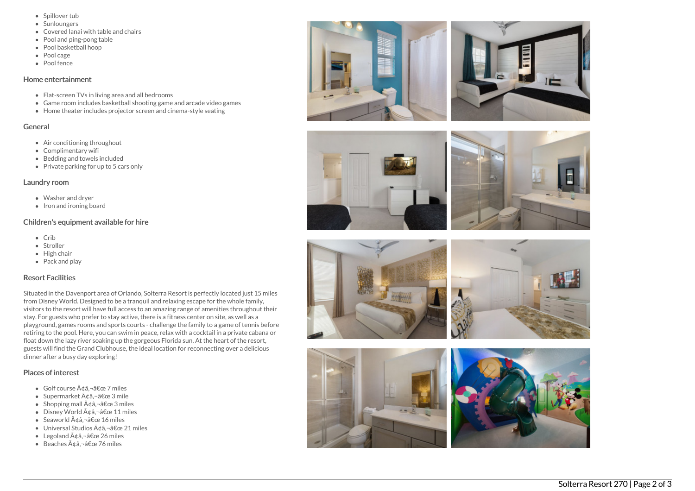- Spillover tub
- **Sunloungers**
- Covered lanai with table and chairs
- Pool and ping-pong table
- Pool basketball hoop
- Pool cage
- Pool fence

### Home entertainment

- Flat-screen TVs in living area and all bedrooms
- Game room includes basketball shooting game and arcade video games
- Home theater includes projector screen and cinema-style seating

# General

- Air conditioning throughout
- Complimentary wifi
- Bedding and towels in clu d e d
- Private parking for up to 5 cars only

# Laundry room

- Washer and dryer
- Iron and ironing board

# Children's equipment available for hire

- C rib
- Stroller
- Hig h c h air
- Pack and play

# Resort Facilities

Situated in the Davenport area of Orlando, Solterra Resort is perfectly located just 15 miles from Disney World. Designed to be a tranquil and relaxing escape for the whole family, visitors to the resort will have full access to an amazing range of amenities throughout t h eir stay. For guests who prefer to stay active, there is a fitness center on site, as well as a playground, games rooms and sports courts - challenge the family to a game of tennis before retiring to the pool. Here, you can swim in peace, relax with a cocktail in a private cabana or float down the lazy river soaking up the gorgeous Florida sun. At the heart of the resort, guests will find the Grand Clubhouse, the ideal location for reconnecting over a deliciou s dinner after a busy day exploring!

# Places of interest

- Golf course ââ,¬â€œ 7 miles
- Supermarket ââ,¬â€œ 3 mile
- Shopping mall Ģâ,¬â€œ 3 miles
- Disney World ââ,¬â€œ 11 miles
- Seaworld Ģâ,¬â€œ 16 miles
- Universal Studios ââ,¬â€œ 21 miles
- Legoland ââ,¬â€œ 26 miles
- Beaches ¢â,¬â€œ 76 miles